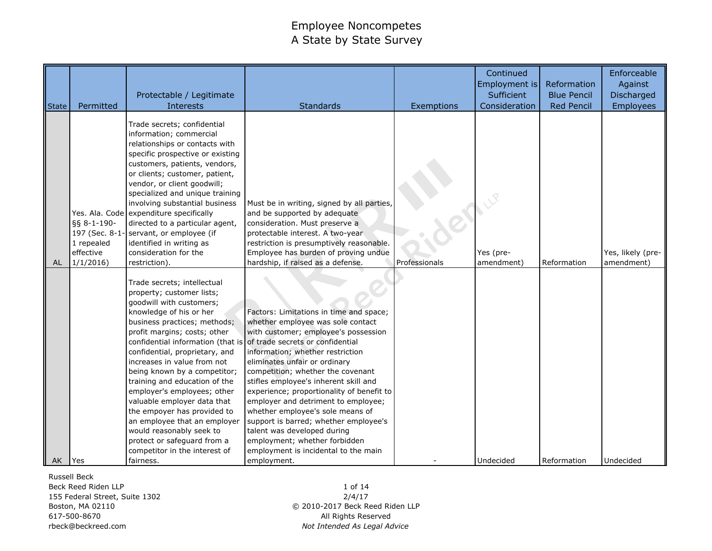| <b>State</b> | Permitted                                                           | Protectable / Legitimate<br>Interests                                                                                                                                                                                                                                                                                                                                                                                                                                                                                                                                                                                         | <b>Standards</b>                                                                                                                                                                                                                                                                                                                                                                                                                                                                                                                                                | Exemptions                 | Continued<br>Employment is<br>Sufficient<br>Consideration | Reformation<br><b>Blue Pencil</b><br><b>Red Pencil</b> | Enforceable<br>Against<br>Discharged<br><b>Employees</b> |
|--------------|---------------------------------------------------------------------|-------------------------------------------------------------------------------------------------------------------------------------------------------------------------------------------------------------------------------------------------------------------------------------------------------------------------------------------------------------------------------------------------------------------------------------------------------------------------------------------------------------------------------------------------------------------------------------------------------------------------------|-----------------------------------------------------------------------------------------------------------------------------------------------------------------------------------------------------------------------------------------------------------------------------------------------------------------------------------------------------------------------------------------------------------------------------------------------------------------------------------------------------------------------------------------------------------------|----------------------------|-----------------------------------------------------------|--------------------------------------------------------|----------------------------------------------------------|
| AL           | §§ 8-1-190-<br>197 (Sec. 8-1<br>1 repealed<br>effective<br>1/1/2016 | Trade secrets; confidential<br>information; commercial<br>relationships or contacts with<br>specific prospective or existing<br>customers, patients, vendors,<br>or clients; customer, patient,<br>vendor, or client goodwill;<br>specialized and unique training<br>involving substantial business<br>Yes. Ala. Code expenditure specifically<br>directed to a particular agent,<br>servant, or employee (if<br>identified in writing as<br>consideration for the<br>restriction).                                                                                                                                           | Must be in writing, signed by all parties,<br>and be supported by adequate<br>consideration. Must preserve a<br>protectable interest. A two-year<br>restriction is presumptively reasonable.<br>Employee has burden of proving undue<br>hardship, if raised as a defense.                                                                                                                                                                                                                                                                                       | <b>CY</b><br>Professionals | Yes (pre-<br>amendment)                                   | Reformation                                            | Yes, likely (pre-<br>amendment)                          |
| AK           | Yes                                                                 | Trade secrets; intellectual<br>property; customer lists;<br>goodwill with customers;<br>knowledge of his or her<br>business practices; methods;<br>profit margins; costs; other<br>confidential information (that is of trade secrets or confidential<br>confidential, proprietary, and<br>increases in value from not<br>being known by a competitor;<br>training and education of the<br>employer's employees; other<br>valuable employer data that<br>the empoyer has provided to<br>an employee that an employer<br>would reasonably seek to<br>protect or safeguard from a<br>competitor in the interest of<br>fairness. | Factors: Limitations in time and space;<br>whether employee was sole contact<br>with customer; employee's possession<br>information; whether restriction<br>eliminates unfair or ordinary<br>competition; whether the covenant<br>stifles employee's inherent skill and<br>experience; proportionality of benefit to<br>employer and detriment to employee;<br>whether employee's sole means of<br>support is barred; whether employee's<br>talent was developed during<br>employment; whether forbidden<br>employment is incidental to the main<br>employment. |                            | Undecided                                                 | Reformation                                            | Undecided                                                |

Russell Beck

Beck Reed Riden LLP 155 Federal Street, Suite 1302 Boston, MA 02110 617-500-8670 rbeck@beckreed.com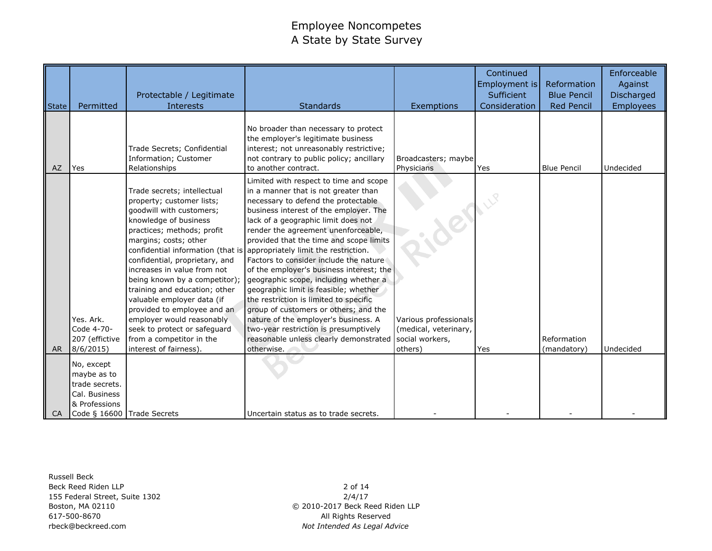| State     | Permitted                                                                                                   | Protectable / Legitimate<br>Interests                                                                                                                                                                                                                                                                                                                                                                                                                                                                                       | <b>Standards</b>                                                                                                                                                                                                                                                                                                                                                                                                                                                                                                                                                                                                                                                                                                                     | Exemptions                                                                          | Continued<br>Employment is<br>Sufficient<br>Consideration | Reformation<br><b>Blue Pencil</b><br><b>Red Pencil</b> | Enforceable<br>Against<br>Discharged<br><b>Employees</b> |
|-----------|-------------------------------------------------------------------------------------------------------------|-----------------------------------------------------------------------------------------------------------------------------------------------------------------------------------------------------------------------------------------------------------------------------------------------------------------------------------------------------------------------------------------------------------------------------------------------------------------------------------------------------------------------------|--------------------------------------------------------------------------------------------------------------------------------------------------------------------------------------------------------------------------------------------------------------------------------------------------------------------------------------------------------------------------------------------------------------------------------------------------------------------------------------------------------------------------------------------------------------------------------------------------------------------------------------------------------------------------------------------------------------------------------------|-------------------------------------------------------------------------------------|-----------------------------------------------------------|--------------------------------------------------------|----------------------------------------------------------|
| AZ        | Yes                                                                                                         | Trade Secrets; Confidential<br>Information; Customer<br>Relationships                                                                                                                                                                                                                                                                                                                                                                                                                                                       | No broader than necessary to protect<br>the employer's legitimate business<br>interest; not unreasonably restrictive;<br>not contrary to public policy; ancillary<br>to another contract.                                                                                                                                                                                                                                                                                                                                                                                                                                                                                                                                            | Broadcasters; maybe<br>Physicians                                                   | Yes                                                       | <b>Blue Pencil</b>                                     | Undecided                                                |
| <b>AR</b> | Yes. Ark.<br>Code 4-70-<br>207 (effictive<br>8/6/2015                                                       | Trade secrets; intellectual<br>property; customer lists;<br>goodwill with customers;<br>knowledge of business<br>practices; methods; profit<br>margins; costs; other<br>confidential information (that is<br>confidential, proprietary, and<br>increases in value from not<br>being known by a competitor);<br>training and education; other<br>valuable employer data (if<br>provided to employee and an<br>employer would reasonably<br>seek to protect or safeguard<br>from a competitor in the<br>interest of fairness) | Limited with respect to time and scope<br>in a manner that is not greater than<br>necessary to defend the protectable<br>business interest of the employer. The<br>lack of a geographic limit does not<br>render the agreement unenforceable,<br>provided that the time and scope limits<br>appropriately limit the restriction.<br>Factors to consider include the nature<br>of the employer's business interest; the<br>geographic scope, including whether a<br>geographic limit is feasible; whether<br>the restriction is limited to specific<br>group of customers or others; and the<br>nature of the employer's business. A<br>two-year restriction is presumptively<br>reasonable unless clearly demonstrated<br>otherwise. | der<br>Various professionals<br>(medical, veterinary,<br>social workers,<br>others) | Yes                                                       | Reformation<br>(mandatory)                             | Undecided                                                |
| CA        | No, except<br>maybe as to<br>trade secrets.<br>Cal. Business<br>& Professions<br>Code § 16600 Trade Secrets |                                                                                                                                                                                                                                                                                                                                                                                                                                                                                                                             | Uncertain status as to trade secrets.                                                                                                                                                                                                                                                                                                                                                                                                                                                                                                                                                                                                                                                                                                |                                                                                     |                                                           |                                                        |                                                          |

Russell Beck Beck Reed Riden LLP 155 Federal Street, Suite 1302 Boston, MA 02110 617-500-8670 rbeck@beckreed.com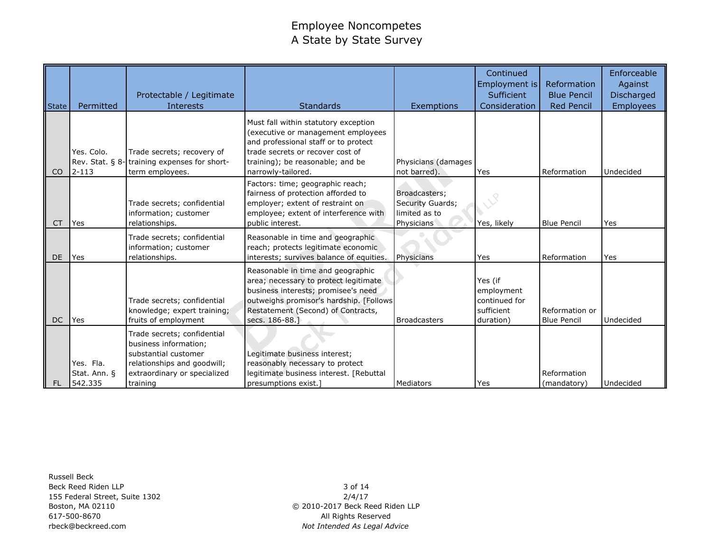|               |                                      | Protectable / Legitimate                                                                                                                                |                                                                                                                                                                                                                     |                                                                  | Continued<br>Employment is<br>Sufficient                          | Reformation<br><b>Blue Pencil</b>    | Enforceable<br>Against<br>Discharged |
|---------------|--------------------------------------|---------------------------------------------------------------------------------------------------------------------------------------------------------|---------------------------------------------------------------------------------------------------------------------------------------------------------------------------------------------------------------------|------------------------------------------------------------------|-------------------------------------------------------------------|--------------------------------------|--------------------------------------|
| State         | Permitted                            | Interests                                                                                                                                               | <b>Standards</b>                                                                                                                                                                                                    | Exemptions                                                       | Consideration                                                     | <b>Red Pencil</b>                    | <b>Employees</b>                     |
| <sub>CO</sub> | Yes. Colo.<br>$2 - 113$              | Trade secrets; recovery of<br>Rev. Stat. § 8-training expenses for short-<br>term employees.                                                            | Must fall within statutory exception<br>(executive or management employees<br>and professional staff or to protect<br>trade secrets or recover cost of<br>training); be reasonable; and be<br>narrowly-tailored.    | Physicians (damages<br>not barred).                              | Yes                                                               | Reformation                          | Undecided                            |
| <b>CT</b>     | Yes                                  | Trade secrets; confidential<br>information; customer<br>relationships.                                                                                  | Factors: time; geographic reach;<br>fairness of protection afforded to<br>employer; extent of restraint on<br>employee; extent of interference with<br>public interest.                                             | Broadcasters;<br>Security Guards;<br>limited as to<br>Physicians | Yes, likely                                                       | <b>Blue Pencil</b>                   | Yes                                  |
| <b>DE</b>     | Yes                                  | Trade secrets; confidential<br>information; customer<br>relationships.                                                                                  | Reasonable in time and geographic<br>reach; protects legitimate economic<br>interests; survives balance of equities.                                                                                                | Physicians                                                       | Yes                                                               | Reformation                          | Yes                                  |
| DC            | Yes                                  | Trade secrets; confidential<br>knowledge; expert training;<br>fruits of employment                                                                      | Reasonable in time and geographic<br>area; necessary to protect legitimate<br>business interests; promisee's need<br>outweighs promisor's hardship. [Follows<br>Restatement (Second) of Contracts,<br>secs. 186-88. | <b>Broadcasters</b>                                              | Yes (if<br>employment<br>continued for<br>sufficient<br>duration) | Reformation or<br><b>Blue Pencil</b> | Undecided                            |
| <b>FL</b>     | Yes. Fla.<br>Stat. Ann. §<br>542.335 | Trade secrets; confidential<br>business information;<br>substantial customer<br>relationships and goodwill;<br>extraordinary or specialized<br>training | Legitimate business interest;<br>reasonably necessary to protect<br>legitimate business interest. [Rebuttal<br>presumptions exist.]                                                                                 | Mediators                                                        | Yes                                                               | Reformation<br>(mandatory)           | Undecided                            |

Russell Beck Beck Reed Riden LLP 155 Federal Street, Suite 1302 Boston, MA 02110 617-500-8670 rbeck@beckreed.com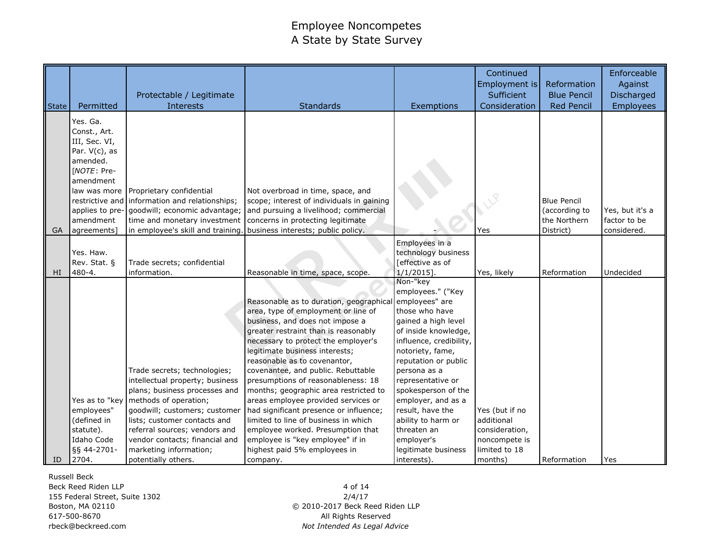| State | Permitted                                                                                                                                                            | Protectable / Legitimate<br><b>Interests</b>                                                                                                                                                                                                                                                                   | <b>Standards</b>                                                                                                                                                                                                                                                                                                                                                                                                                                                                                                                                                                                                                      | Exemptions                                                                                                                                                                                                                                                                                                                                                                             | Continued<br>Employment is<br>Sufficient<br>Consideration                                   | Reformation<br><b>Blue Pencil</b><br><b>Red Pencil</b>           | Enforceable<br>Against<br>Discharged<br><b>Employees</b> |
|-------|----------------------------------------------------------------------------------------------------------------------------------------------------------------------|----------------------------------------------------------------------------------------------------------------------------------------------------------------------------------------------------------------------------------------------------------------------------------------------------------------|---------------------------------------------------------------------------------------------------------------------------------------------------------------------------------------------------------------------------------------------------------------------------------------------------------------------------------------------------------------------------------------------------------------------------------------------------------------------------------------------------------------------------------------------------------------------------------------------------------------------------------------|----------------------------------------------------------------------------------------------------------------------------------------------------------------------------------------------------------------------------------------------------------------------------------------------------------------------------------------------------------------------------------------|---------------------------------------------------------------------------------------------|------------------------------------------------------------------|----------------------------------------------------------|
| GA    | Yes. Ga.<br>Const., Art.<br>III, Sec. VI,<br>Par. $V(c)$ , as<br>amended.<br>[NOTE: Pre-<br>amendment<br>law was more<br>applies to pre-<br>amendment<br>agreements] | Proprietary confidential<br>restrictive and information and relationships;<br>goodwill; economic advantage;<br>time and monetary investment<br>in employee's skill and training.                                                                                                                               | Not overbroad in time, space, and<br>scope; interest of individuals in gaining<br>and pursuing a livelihood; commercial<br>concerns in protecting legitimate<br>business interests; public policy.                                                                                                                                                                                                                                                                                                                                                                                                                                    |                                                                                                                                                                                                                                                                                                                                                                                        | Yes                                                                                         | <b>Blue Pencil</b><br>(according to<br>the Northern<br>District) | Yes, but it's a<br>factor to be<br>considered.           |
| HI    | Yes. Haw.<br>Rev. Stat. §<br>480-4.                                                                                                                                  | Trade secrets; confidential<br>information.                                                                                                                                                                                                                                                                    | Reasonable in time, space, scope.                                                                                                                                                                                                                                                                                                                                                                                                                                                                                                                                                                                                     | Employees in a<br>technology business<br>[effective as of<br>$1/1/2015$ ].                                                                                                                                                                                                                                                                                                             | Yes, likely                                                                                 | Reformation                                                      | Undecided                                                |
| ID    | Yes as to "key<br>employees"<br>(defined in<br>statute).<br>Idaho Code<br>§§ 44-2701-<br>2704.                                                                       | Trade secrets; technologies;<br>intellectual property; business<br>plans; business processes and<br>methods of operation;<br>goodwill; customers; customer<br>lists; customer contacts and<br>referral sources; vendors and<br>vendor contacts; financial and<br>marketing information;<br>potentially others. | Reasonable as to duration, geographical<br>area, type of employment or line of<br>business, and does not impose a<br>greater restraint than is reasonably<br>necessary to protect the employer's<br>legitimate business interests;<br>reasonable as to covenantor,<br>covenantee, and public. Rebuttable<br>presumptions of reasonableness: 18<br>months; geographic area restricted to<br>areas employee provided services or<br>had significant presence or influence;<br>limited to line of business in which<br>employee worked. Presumption that<br>employee is "key employee" if in<br>highest paid 5% employees in<br>company. | Non-"key<br>employees." ("Key<br>employees" are<br>those who have<br>gained a high level<br>of inside knowledge,<br>influence, credibility,<br>notoriety, fame,<br>reputation or public<br>persona as a<br>representative or<br>spokesperson of the<br>employer, and as a<br>result, have the<br>ability to harm or<br>threaten an<br>employer's<br>legitimate business<br>interests). | Yes (but if no<br>additional<br>consideration,<br>noncompete is<br>limited to 18<br>months) | Reformation                                                      | Yes                                                      |

Russell Beck Beck Reed Riden LLP 155 Federal Street, Suite 1302 Boston, MA 02110 617-500-8670 rbeck@beckreed.com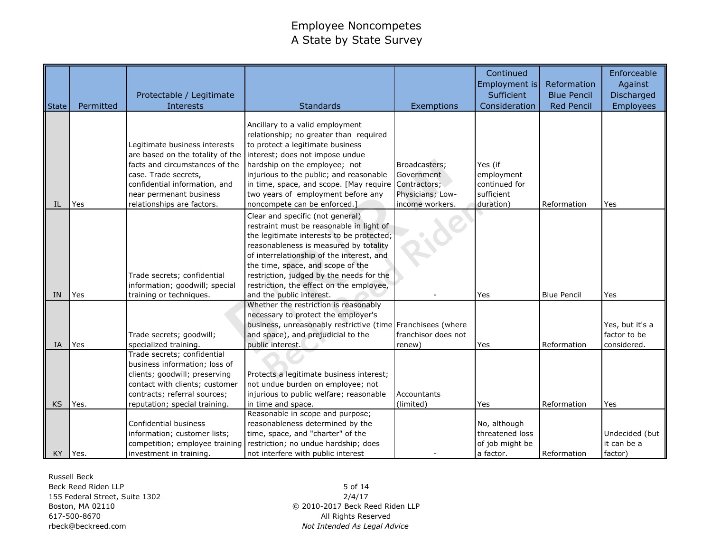|              |           | Protectable / Legitimate                                                                                                                                                                |                                                                                                                                                                                                                                                                                                                                               |                                                 | Continued<br>Employment is<br>Sufficient                        | Reformation<br><b>Blue Pencil</b> | Enforceable<br>Against<br>Discharged           |
|--------------|-----------|-----------------------------------------------------------------------------------------------------------------------------------------------------------------------------------------|-----------------------------------------------------------------------------------------------------------------------------------------------------------------------------------------------------------------------------------------------------------------------------------------------------------------------------------------------|-------------------------------------------------|-----------------------------------------------------------------|-----------------------------------|------------------------------------------------|
| <b>State</b> | Permitted | Interests                                                                                                                                                                               | <b>Standards</b>                                                                                                                                                                                                                                                                                                                              | Exemptions                                      | Consideration                                                   | <b>Red Pencil</b>                 | <b>Employees</b>                               |
|              |           | Legitimate business interests<br>are based on the totality of the<br>facts and circumstances of the<br>case. Trade secrets,<br>confidential information, and<br>near permenant business | Ancillary to a valid employment<br>relationship; no greater than required<br>to protect a legitimate business<br>interest; does not impose undue<br>hardship on the employee; not<br>injurious to the public; and reasonable<br>in time, space, and scope. [May require Contractors;<br>two years of employment before any                    | Broadcasters;<br>Government<br>Physicians; Low- | Yes (if<br>employment<br>continued for<br>sufficient            |                                   |                                                |
| IL           | Yes       | relationships are factors.                                                                                                                                                              | noncompete can be enforced.]                                                                                                                                                                                                                                                                                                                  | income workers.                                 | duration)                                                       | Reformation                       | Yes                                            |
|              |           | Trade secrets; confidential<br>information; goodwill; special                                                                                                                           | Clear and specific (not general)<br>restraint must be reasonable in light of<br>the legitimate interests to be protected;<br>reasonableness is measured by totality<br>of interrelationship of the interest, and<br>the time, space, and scope of the<br>restriction, judged by the needs for the<br>restriction, the effect on the employee, |                                                 |                                                                 |                                   |                                                |
| <b>IN</b>    | Yes       | training or techniques.                                                                                                                                                                 | and the public interest.                                                                                                                                                                                                                                                                                                                      |                                                 | Yes                                                             | <b>Blue Pencil</b>                | Yes                                            |
| <b>IA</b>    | Yes       | Trade secrets; goodwill;<br>specialized training.                                                                                                                                       | Whether the restriction is reasonably<br>necessary to protect the employer's<br>business, unreasonably restrictive (time Franchisees (where<br>and space), and prejudicial to the<br>public interest.                                                                                                                                         | franchisor does not<br>renew)                   | Yes                                                             | Reformation                       | Yes, but it's a<br>factor to be<br>considered. |
|              |           | Trade secrets; confidential<br>business information; loss of<br>clients; goodwill; preserving<br>contact with clients; customer<br>contracts; referral sources;                         | Protects a legitimate business interest;<br>not undue burden on employee; not<br>injurious to public welfare; reasonable                                                                                                                                                                                                                      | Accountants                                     |                                                                 |                                   |                                                |
| <b>KS</b>    | Yes.      | reputation; special training.                                                                                                                                                           | in time and space.                                                                                                                                                                                                                                                                                                                            | (limited)                                       | Yes                                                             | Reformation                       | Yes                                            |
| KY Yes.      |           | Confidential business<br>information; customer lists;<br>competition; employee training<br>investment in training.                                                                      | Reasonable in scope and purpose;<br>reasonableness determined by the<br>time, space, and "charter" of the<br>restriction; no undue hardship; does<br>not interfere with public interest                                                                                                                                                       |                                                 | No, although<br>threatened loss<br>of job might be<br>a factor. | Reformation                       | Undecided (but<br>it can be a<br>factor)       |

Russell Beck Beck Reed Riden LLP 155 Federal Street, Suite 1302 Boston, MA 02110 617-500-8670 rbeck@beckreed.com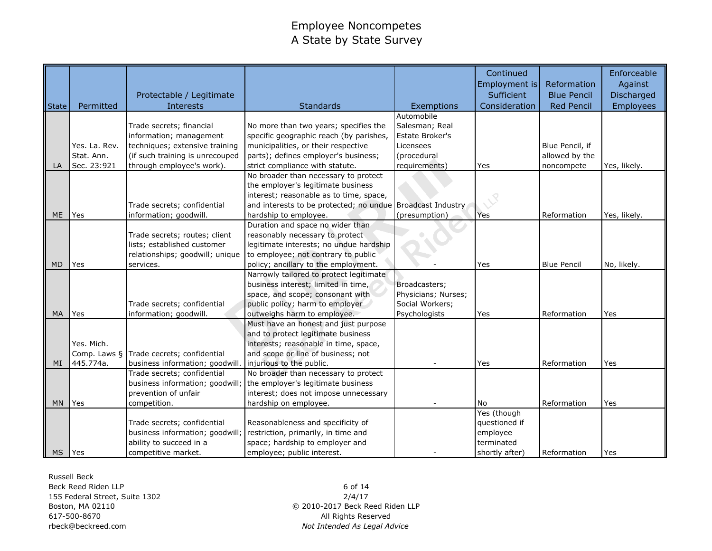|              |               |                                          |                                         |                           | Continued<br>Employment is | Reformation        | Enforceable<br>Against |
|--------------|---------------|------------------------------------------|-----------------------------------------|---------------------------|----------------------------|--------------------|------------------------|
|              |               | Protectable / Legitimate                 |                                         |                           | Sufficient                 | <b>Blue Pencil</b> | Discharged             |
| <b>State</b> | Permitted     | <b>Interests</b>                         | <b>Standards</b>                        | Exemptions                | Consideration              | <b>Red Pencil</b>  | <b>Employees</b>       |
|              |               |                                          |                                         | Automobile                |                            |                    |                        |
|              |               | Trade secrets; financial                 | No more than two years; specifies the   | Salesman; Real            |                            |                    |                        |
|              |               | information; management                  | specific geographic reach (by parishes, | Estate Broker's           |                            |                    |                        |
|              | Yes. La. Rev. | techniques; extensive training           | municipalities, or their respective     | Licensees                 |                            | Blue Pencil, if    |                        |
|              | Stat. Ann.    | (if such training is unrecouped          | parts); defines employer's business;    | (procedural               |                            | allowed by the     |                        |
| LA           | Sec. 23:921   | through employee's work).                | strict compliance with statute.         | requirements)             | Yes                        | noncompete         | Yes, likely.           |
|              |               |                                          | No broader than necessary to protect    |                           |                            |                    |                        |
|              |               |                                          | the employer's legitimate business      |                           |                            |                    |                        |
|              |               |                                          | interest; reasonable as to time, space, |                           |                            |                    |                        |
|              |               | Trade secrets; confidential              | and interests to be protected; no undue | <b>Broadcast Industry</b> |                            |                    |                        |
| <b>ME</b>    | Yes           | information; goodwill.                   | hardship to employee.                   | (presumption)             | Yes                        | Reformation        | Yes, likely.           |
|              |               |                                          | Duration and space no wider than        |                           |                            |                    |                        |
|              |               | Trade secrets; routes; client            | reasonably necessary to protect         |                           |                            |                    |                        |
|              |               | lists; established customer              | legitimate interests; no undue hardship |                           |                            |                    |                        |
|              |               | relationships; goodwill; unique          | to employee; not contrary to public     |                           |                            |                    |                        |
| MD           | Yes           | services.                                | policy; ancillary to the employment.    |                           | Yes                        | <b>Blue Pencil</b> | No, likely.            |
|              |               |                                          | Narrowly tailored to protect legitimate |                           |                            |                    |                        |
|              |               |                                          | business interest; limited in time,     | Broadcasters;             |                            |                    |                        |
|              |               |                                          | space, and scope; consonant with        | Physicians; Nurses;       |                            |                    |                        |
|              |               | Trade secrets; confidential              | public policy; harm to employer         | Social Workers;           |                            |                    |                        |
| <b>MA</b>    | Yes           | information; goodwill.                   | outweighs harm to employee.             | Psychologists             | Yes                        | Reformation        | Yes                    |
|              |               |                                          | Must have an honest and just purpose    |                           |                            |                    |                        |
|              |               |                                          | and to protect legitimate business      |                           |                            |                    |                        |
|              | Yes. Mich.    |                                          | interests; reasonable in time, space,   |                           |                            |                    |                        |
|              |               | Comp. Laws § Trade cecrets; confidential | and scope or line of business; not      |                           |                            |                    |                        |
| MI           | 445.774a.     | business information; goodwill.          | injurious to the public.                |                           | Yes                        | Reformation        | Yes                    |
|              |               | Trade secrets; confidential              | No broader than necessary to protect    |                           |                            |                    |                        |
|              |               | business information; goodwill;          | the employer's legitimate business      |                           |                            |                    |                        |
|              |               | prevention of unfair                     | interest; does not impose unnecessary   |                           |                            |                    |                        |
| MN.          | Yes           | competition.                             | hardship on employee.                   |                           | <b>No</b>                  | Reformation        | Yes                    |
|              |               |                                          |                                         |                           | Yes (though                |                    |                        |
|              |               | Trade secrets; confidential              | Reasonableness and specificity of       |                           | questioned if              |                    |                        |
|              |               | business information; goodwill;          | restriction, primarily, in time and     |                           | employee                   |                    |                        |
|              |               | ability to succeed in a                  | space; hardship to employer and         |                           | terminated                 |                    |                        |
| MS Yes       |               | competitive market.                      | employee; public interest.              |                           | shortly after)             | Reformation        | Yes                    |

Russell Beck Beck Reed Riden LLP 155 Federal Street, Suite 1302 Boston, MA 02110 617-500-8670 rbeck@beckreed.com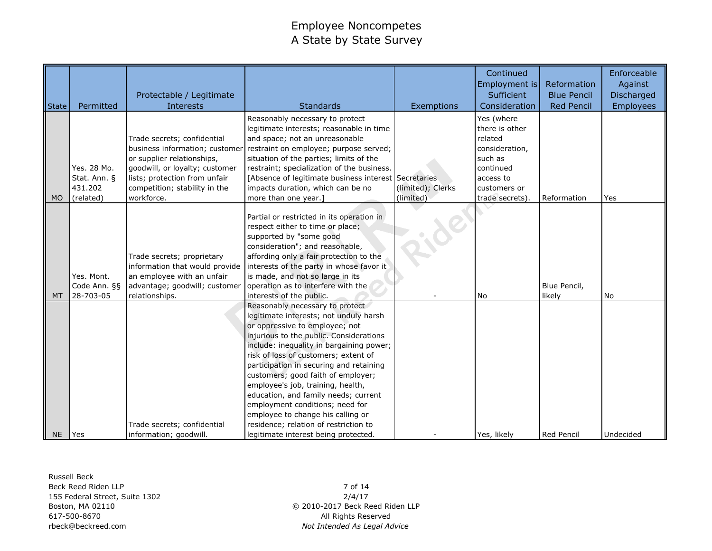| State     | Permitted    | Protectable / Legitimate<br><b>Interests</b> | <b>Standards</b>                                                                                                                                                                                                                                                                                                                                                                                                                                                                                                          | Exemptions        | Continued<br>Employment is<br>Sufficient<br>Consideration | Reformation<br><b>Blue Pencil</b><br><b>Red Pencil</b> | Enforceable<br>Against<br>Discharged<br>Employees |
|-----------|--------------|----------------------------------------------|---------------------------------------------------------------------------------------------------------------------------------------------------------------------------------------------------------------------------------------------------------------------------------------------------------------------------------------------------------------------------------------------------------------------------------------------------------------------------------------------------------------------------|-------------------|-----------------------------------------------------------|--------------------------------------------------------|---------------------------------------------------|
|           |              |                                              | Reasonably necessary to protect<br>legitimate interests; reasonable in time                                                                                                                                                                                                                                                                                                                                                                                                                                               |                   | Yes (where<br>there is other                              |                                                        |                                                   |
|           |              | Trade secrets; confidential                  | and space; not an unreasonable                                                                                                                                                                                                                                                                                                                                                                                                                                                                                            |                   | related                                                   |                                                        |                                                   |
|           |              | business information; customer               | restraint on employee; purpose served;                                                                                                                                                                                                                                                                                                                                                                                                                                                                                    |                   | consideration,                                            |                                                        |                                                   |
|           |              | or supplier relationships,                   | situation of the parties; limits of the                                                                                                                                                                                                                                                                                                                                                                                                                                                                                   |                   | such as                                                   |                                                        |                                                   |
|           | Yes. 28 Mo.  | goodwill, or loyalty; customer               | restraint; specialization of the business.                                                                                                                                                                                                                                                                                                                                                                                                                                                                                |                   | continued                                                 |                                                        |                                                   |
|           | Stat. Ann. § | lists; protection from unfair                | [Absence of legitimate business interest Secretaries                                                                                                                                                                                                                                                                                                                                                                                                                                                                      |                   | access to                                                 |                                                        |                                                   |
|           | 431.202      | competition; stability in the                | impacts duration, which can be no                                                                                                                                                                                                                                                                                                                                                                                                                                                                                         | (limited); Clerks | customers or                                              |                                                        |                                                   |
| <b>MO</b> | (related)    | workforce.                                   | more than one year.]                                                                                                                                                                                                                                                                                                                                                                                                                                                                                                      | (limited)         | trade secrets)                                            | Reformation                                            | Yes                                               |
|           |              |                                              | Partial or restricted in its operation in<br>respect either to time or place;<br>supported by "some good<br>consideration"; and reasonable,                                                                                                                                                                                                                                                                                                                                                                               |                   |                                                           |                                                        |                                                   |
|           |              | Trade secrets; proprietary                   | affording only a fair protection to the                                                                                                                                                                                                                                                                                                                                                                                                                                                                                   |                   |                                                           |                                                        |                                                   |
|           |              | information that would provide               | interests of the party in whose favor it                                                                                                                                                                                                                                                                                                                                                                                                                                                                                  |                   |                                                           |                                                        |                                                   |
|           | Yes. Mont.   | an employee with an unfair                   | is made, and not so large in its                                                                                                                                                                                                                                                                                                                                                                                                                                                                                          |                   |                                                           |                                                        |                                                   |
|           | Code Ann. §§ | advantage; goodwill; customer                | operation as to interfere with the                                                                                                                                                                                                                                                                                                                                                                                                                                                                                        |                   |                                                           | Blue Pencil,                                           |                                                   |
| MT        | 28-703-05    | relationships.                               | interests of the public.                                                                                                                                                                                                                                                                                                                                                                                                                                                                                                  |                   | <b>No</b>                                                 | likely                                                 | No                                                |
|           |              | Trade secrets; confidential                  | Reasonably necessary to protect<br>legitimate interests; not unduly harsh<br>or oppressive to employee; not<br>injurious to the public. Considerations<br>include: inequality in bargaining power;<br>risk of loss of customers; extent of<br>participation in securing and retaining<br>customers; good faith of employer;<br>employee's job, training, health,<br>education, and family needs; current<br>employment conditions; need for<br>employee to change his calling or<br>residence; relation of restriction to |                   |                                                           |                                                        |                                                   |
| <b>NE</b> | Yes          | information; goodwill.                       | legitimate interest being protected.                                                                                                                                                                                                                                                                                                                                                                                                                                                                                      |                   | Yes, likely                                               | Red Pencil                                             | Undecided                                         |

Russell Beck Beck Reed Riden LLP 155 Federal Street, Suite 1302 Boston, MA 02110 617-500-8670 rbeck@beckreed.com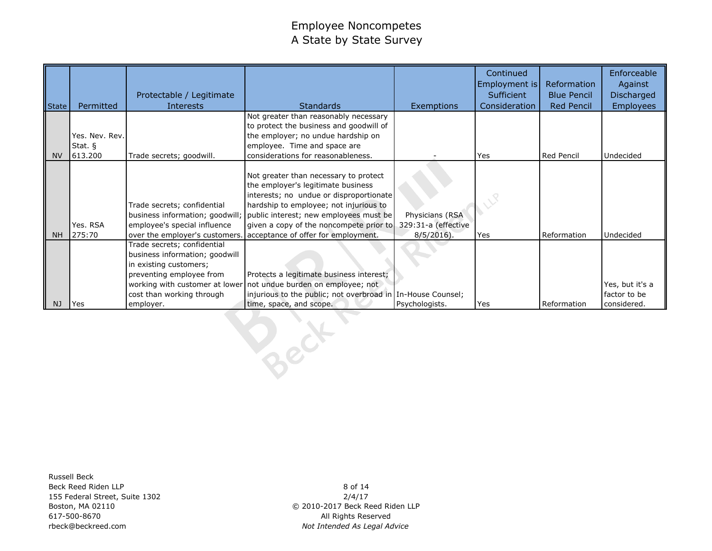| State          | Permitted            | Protectable / Legitimate<br><b>Interests</b>                  | <b>Standards</b>                                                               | Exemptions          | Continued<br>Employment is<br>Sufficient<br>Consideration | Reformation<br><b>Blue Pencil</b><br><b>Red Pencil</b> | Enforceable<br>Against<br>Discharged<br><b>Employees</b> |
|----------------|----------------------|---------------------------------------------------------------|--------------------------------------------------------------------------------|---------------------|-----------------------------------------------------------|--------------------------------------------------------|----------------------------------------------------------|
|                |                      |                                                               | Not greater than reasonably necessary                                          |                     |                                                           |                                                        |                                                          |
|                |                      |                                                               | to protect the business and goodwill of                                        |                     |                                                           |                                                        |                                                          |
|                | Yes. Nev. Rev.       |                                                               | the employer; no undue hardship on                                             |                     |                                                           |                                                        |                                                          |
| <b>NV</b>      | Stat. $§$<br>613.200 | Trade secrets; goodwill.                                      | employee. Time and space are<br>considerations for reasonableness.             |                     | Yes                                                       | Red Pencil                                             | Undecided                                                |
|                |                      |                                                               |                                                                                |                     |                                                           |                                                        |                                                          |
|                |                      |                                                               | Not greater than necessary to protect                                          |                     |                                                           |                                                        |                                                          |
|                |                      |                                                               | the employer's legitimate business                                             |                     |                                                           |                                                        |                                                          |
|                |                      |                                                               | interests; no undue or disproportionate                                        |                     |                                                           |                                                        |                                                          |
|                |                      | Trade secrets; confidential                                   | hardship to employee; not injurious to                                         |                     |                                                           |                                                        |                                                          |
|                |                      | business information; goodwill;                               | public interest; new employees must be                                         | Physicians (RSA     |                                                           |                                                        |                                                          |
| N <sub>H</sub> | Yes. RSA<br>275:70   | employee's special influence                                  | given a copy of the noncompete prior to<br>acceptance of offer for employment. | 329:31-a (effective |                                                           | Reformation                                            | Undecided                                                |
|                |                      | over the employer's customers.<br>Trade secrets; confidential |                                                                                | $8/5/2016$ ).       | Yes                                                       |                                                        |                                                          |
|                |                      | business information; goodwill                                |                                                                                |                     |                                                           |                                                        |                                                          |
|                |                      | in existing customers;                                        |                                                                                |                     |                                                           |                                                        |                                                          |
|                |                      | preventing employee from                                      | Protects a legitimate business interest;                                       |                     |                                                           |                                                        |                                                          |
|                |                      | working with customer at lower                                | not undue burden on employee; not                                              |                     |                                                           |                                                        | Yes, but it's a                                          |
|                |                      | cost than working through                                     | injurious to the public; not overbroad in In-House Counsel;                    |                     |                                                           |                                                        | factor to be                                             |
| NJ             | Yes                  | employer.                                                     | time, space, and scope.                                                        | Psychologists.      | Yes                                                       | Reformation                                            | considered.                                              |
|                |                      |                                                               |                                                                                |                     |                                                           |                                                        |                                                          |

Russell Beck Beck Reed Riden LLP 155 Federal Street, Suite 1302 Boston, MA 02110 617-500-8670 rbeck@beckreed.com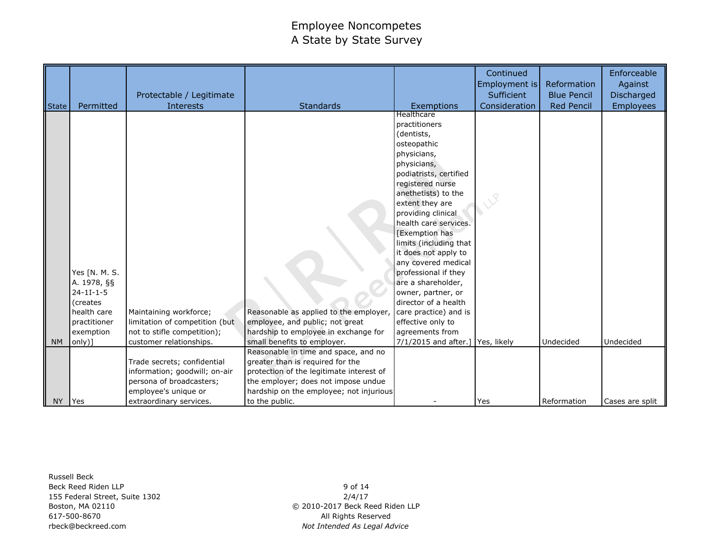| <b>State</b> | Permitted                                                                                                                   | Protectable / Legitimate<br>Interests                                                                              | <b>Standards</b>                                                                                                                                 | Exemptions                                                                                                                                                                                                                                                                                                                                                                                                                                                                                                                      | Continued<br>Employment is<br>Sufficient<br>Consideration | Reformation<br><b>Blue Pencil</b><br><b>Red Pencil</b> | Enforceable<br>Against<br>Discharged<br><b>Employees</b> |
|--------------|-----------------------------------------------------------------------------------------------------------------------------|--------------------------------------------------------------------------------------------------------------------|--------------------------------------------------------------------------------------------------------------------------------------------------|---------------------------------------------------------------------------------------------------------------------------------------------------------------------------------------------------------------------------------------------------------------------------------------------------------------------------------------------------------------------------------------------------------------------------------------------------------------------------------------------------------------------------------|-----------------------------------------------------------|--------------------------------------------------------|----------------------------------------------------------|
| <b>NM</b>    | Yes [N. M. S.<br>A. 1978, §§<br>$24 - 11 - 1 - 5$<br><i>(creates)</i><br>health care<br>practitioner<br>exemption<br>only)] | Maintaining workforce;<br>limitation of competition (but<br>not to stifle competition);<br>customer relationships. | Reasonable as applied to the employer,<br>employee, and public; not great<br>hardship to employee in exchange for<br>small benefits to employer. | Healthcare<br>practitioners<br>(dentists,<br>osteopathic<br>physicians,<br>physicians,<br>podiatrists, certified<br>registered nurse<br>anethetists) to the<br>extent they are<br>providing clinical<br>health care services.<br><b>Exemption has</b><br>limits (including that<br>it does not apply to<br>any covered medical<br>professional if they<br>are a shareholder,<br>owner, partner, or<br>director of a health<br>care practice) and is<br>effective only to<br>agreements from<br>7/1/2015 and after.] Yes, likely |                                                           | Undecided                                              | Undecided                                                |
|              |                                                                                                                             | Trade secrets; confidential                                                                                        | Reasonable in time and space, and no<br>greater than is required for the                                                                         |                                                                                                                                                                                                                                                                                                                                                                                                                                                                                                                                 |                                                           |                                                        |                                                          |
|              |                                                                                                                             | information; goodwill; on-air<br>persona of broadcasters;<br>employee's unique or                                  | protection of the legitimate interest of<br>the employer; does not impose undue<br>hardship on the employee; not injurious                       |                                                                                                                                                                                                                                                                                                                                                                                                                                                                                                                                 |                                                           |                                                        |                                                          |
| NY           | Yes                                                                                                                         | extraordinary services.                                                                                            | to the public.                                                                                                                                   |                                                                                                                                                                                                                                                                                                                                                                                                                                                                                                                                 | Yes                                                       | Reformation                                            | Cases are split                                          |

Russell Beck Beck Reed Riden LLP 155 Federal Street, Suite 1302 Boston, MA 02110 617-500-8670 rbeck@beckreed.com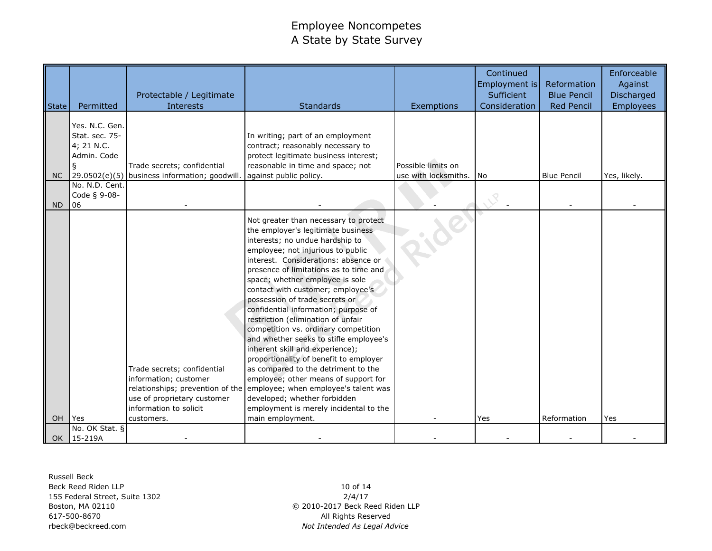| <b>State</b> | Permitted                                                          | Protectable / Legitimate<br>Interests                                                                                                                           | <b>Standards</b>                                                                                                                                                                                                                                                                                                                                                                                                                                                                                                                                                                                                                                                                                                                                                                                                  | Exemptions           | Continued<br>Employment is<br>Sufficient<br>Consideration | Reformation<br><b>Blue Pencil</b><br><b>Red Pencil</b> | Enforceable<br>Against<br>Discharged<br>Employees |
|--------------|--------------------------------------------------------------------|-----------------------------------------------------------------------------------------------------------------------------------------------------------------|-------------------------------------------------------------------------------------------------------------------------------------------------------------------------------------------------------------------------------------------------------------------------------------------------------------------------------------------------------------------------------------------------------------------------------------------------------------------------------------------------------------------------------------------------------------------------------------------------------------------------------------------------------------------------------------------------------------------------------------------------------------------------------------------------------------------|----------------------|-----------------------------------------------------------|--------------------------------------------------------|---------------------------------------------------|
|              | Yes. N.C. Gen.<br>Stat. sec. 75-<br>4; 21 N.C.<br>Admin. Code<br>ş | Trade secrets; confidential                                                                                                                                     | In writing; part of an employment<br>contract; reasonably necessary to<br>protect legitimate business interest;<br>reasonable in time and space; not                                                                                                                                                                                                                                                                                                                                                                                                                                                                                                                                                                                                                                                              | Possible limits on   |                                                           |                                                        |                                                   |
| NC.          | No. N.D. Cent.                                                     | 29.0502(e)(5) business information; goodwill.                                                                                                                   | against public policy.                                                                                                                                                                                                                                                                                                                                                                                                                                                                                                                                                                                                                                                                                                                                                                                            | use with locksmiths. | No                                                        | <b>Blue Pencil</b>                                     | Yes, likely.                                      |
| <b>ND</b>    | Code § 9-08-<br>06                                                 |                                                                                                                                                                 |                                                                                                                                                                                                                                                                                                                                                                                                                                                                                                                                                                                                                                                                                                                                                                                                                   |                      |                                                           |                                                        |                                                   |
| OH.          | <b>I</b> Yes                                                       | Trade secrets; confidential<br>information; customer<br>relationships; prevention of the<br>use of proprietary customer<br>information to solicit<br>customers. | Not greater than necessary to protect<br>the employer's legitimate business<br>interests; no undue hardship to<br>employee; not injurious to public<br>interest. Considerations: absence or<br>presence of limitations as to time and<br>space; whether employee is sole<br>contact with customer; employee's<br>possession of trade secrets or<br>confidential information; purpose of<br>restriction (elimination of unfair<br>competition vs. ordinary competition<br>and whether seeks to stifle employee's<br>inherent skill and experience);<br>proportionality of benefit to employer<br>as compared to the detriment to the<br>employee; other means of support for<br>employee; when employee's talent was<br>developed; whether forbidden<br>employment is merely incidental to the<br>main employment. |                      | Yes                                                       | Reformation                                            | Yes                                               |
|              | No. OK Stat. §                                                     |                                                                                                                                                                 |                                                                                                                                                                                                                                                                                                                                                                                                                                                                                                                                                                                                                                                                                                                                                                                                                   |                      |                                                           |                                                        |                                                   |
|              | OK   15-219A                                                       |                                                                                                                                                                 |                                                                                                                                                                                                                                                                                                                                                                                                                                                                                                                                                                                                                                                                                                                                                                                                                   |                      |                                                           |                                                        |                                                   |

Russell Beck Beck Reed Riden LLP 155 Federal Street, Suite 1302 Boston, MA 02110 617-500-8670 rbeck@beckreed.com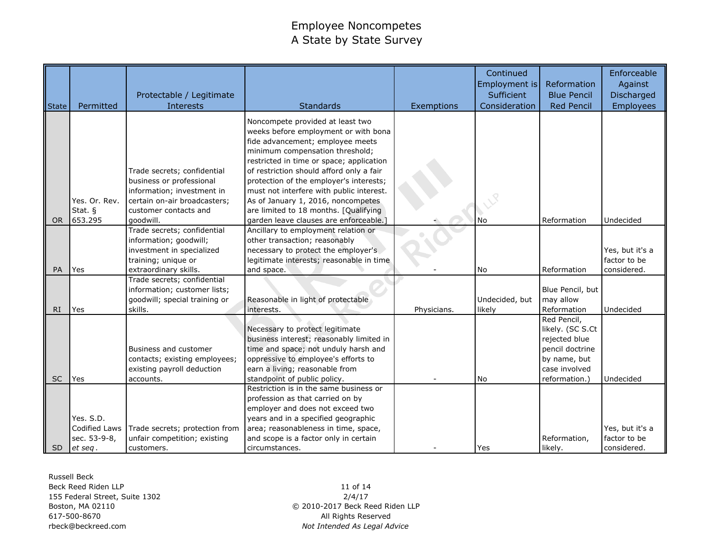| <b>State</b> | Permitted                                             | Protectable / Legitimate<br>Interests                                                                                                                       | <b>Standards</b>                                                                                                                                                                                                                                                                                                                                                                                                                                       | Exemptions  | Continued<br>Employment is<br>Sufficient<br>Consideration | Reformation<br><b>Blue Pencil</b><br><b>Red Pencil</b>                                                                | Enforceable<br>Against<br>Discharged<br>Employees |
|--------------|-------------------------------------------------------|-------------------------------------------------------------------------------------------------------------------------------------------------------------|--------------------------------------------------------------------------------------------------------------------------------------------------------------------------------------------------------------------------------------------------------------------------------------------------------------------------------------------------------------------------------------------------------------------------------------------------------|-------------|-----------------------------------------------------------|-----------------------------------------------------------------------------------------------------------------------|---------------------------------------------------|
| <b>OR</b>    | Yes. Or. Rev.<br>Stat. §<br>653.295                   | Trade secrets; confidential<br>business or professional<br>information; investment in<br>certain on-air broadcasters;<br>customer contacts and<br>goodwill. | Noncompete provided at least two<br>weeks before employment or with bona<br>fide advancement; employee meets<br>minimum compensation threshold;<br>restricted in time or space; application<br>of restriction should afford only a fair<br>protection of the employer's interests;<br>must not interfere with public interest.<br>As of January 1, 2016, noncompetes<br>are limited to 18 months. [Qualifying<br>garden leave clauses are enforceable. |             | <b>No</b>                                                 | Reformation                                                                                                           | Undecided                                         |
|              |                                                       | Trade secrets; confidential<br>information; goodwill;<br>investment in specialized                                                                          | Ancillary to employment relation or<br>other transaction; reasonably<br>necessary to protect the employer's                                                                                                                                                                                                                                                                                                                                            |             |                                                           |                                                                                                                       | Yes, but it's a                                   |
| PA           | Yes                                                   | training; unique or<br>extraordinary skills.                                                                                                                | legitimate interests; reasonable in time<br>and space.                                                                                                                                                                                                                                                                                                                                                                                                 |             | No                                                        | Reformation                                                                                                           | factor to be<br>considered.                       |
| RI.          | Yes                                                   | Trade secrets; confidential<br>information; customer lists;<br>goodwill; special training or<br>skills.                                                     | Reasonable in light of protectable<br>interests.                                                                                                                                                                                                                                                                                                                                                                                                       | Physicians. | Undecided, but<br>likely                                  | Blue Pencil, but<br>may allow<br>Reformation                                                                          | Undecided                                         |
| <b>SC</b>    | Yes                                                   | Business and customer<br>contacts; existing employees;<br>existing payroll deduction<br>accounts.                                                           | Necessary to protect legitimate<br>business interest; reasonably limited in<br>time and space; not unduly harsh and<br>oppressive to employee's efforts to<br>earn a living; reasonable from<br>standpoint of public policy.                                                                                                                                                                                                                           |             | <b>No</b>                                                 | Red Pencil,<br>likely. (SC S.Ct<br>rejected blue<br>pencil doctrine<br>by name, but<br>case involved<br>reformation.) | Undecided                                         |
| SD.          | Yes. S.D.<br>Codified Laws<br>sec. 53-9-8,<br>et seq. | Trade secrets; protection from<br>unfair competition; existing<br>customers.                                                                                | Restriction is in the same business or<br>profession as that carried on by<br>employer and does not exceed two<br>years and in a specified geographic<br>area; reasonableness in time, space,<br>and scope is a factor only in certain<br>circumstances.                                                                                                                                                                                               |             | Yes                                                       | Reformation,<br>likely.                                                                                               | Yes, but it's a<br>factor to be<br>considered.    |

Russell Beck Beck Reed Riden LLP 155 Federal Street, Suite 1302 Boston, MA 02110 617-500-8670 rbeck@beckreed.com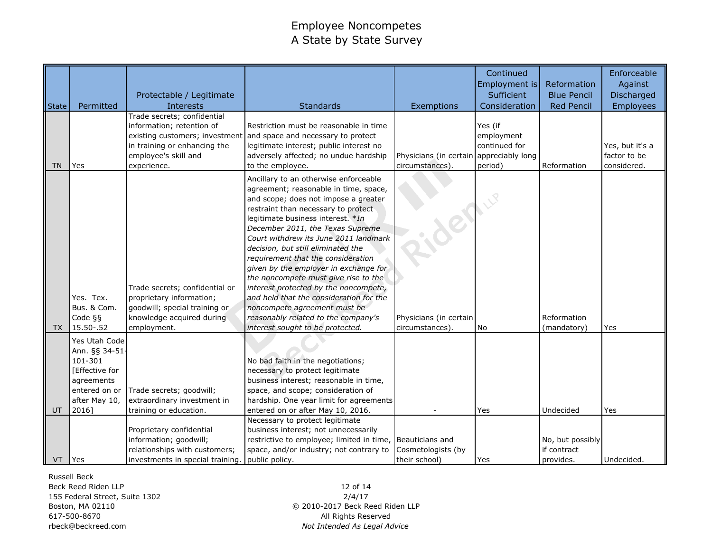| <b>State</b> | Permitted                                                                                                             | Protectable / Legitimate<br>Interests                                                                                                                             | <b>Standards</b>                                                                                                                                                                                                                                                                                                                                                                                                                                                                                                                                                                                                                            | Exemptions                                                 | Continued<br>Employment is<br>Sufficient<br>Consideration | Reformation<br><b>Blue Pencil</b><br><b>Red Pencil</b> | Enforceable<br>Against<br>Discharged<br><b>Employees</b> |
|--------------|-----------------------------------------------------------------------------------------------------------------------|-------------------------------------------------------------------------------------------------------------------------------------------------------------------|---------------------------------------------------------------------------------------------------------------------------------------------------------------------------------------------------------------------------------------------------------------------------------------------------------------------------------------------------------------------------------------------------------------------------------------------------------------------------------------------------------------------------------------------------------------------------------------------------------------------------------------------|------------------------------------------------------------|-----------------------------------------------------------|--------------------------------------------------------|----------------------------------------------------------|
| <b>TN</b>    | Yes                                                                                                                   | Trade secrets; confidential<br>information; retention of<br>existing customers; investment<br>in training or enhancing the<br>employee's skill and<br>experience. | Restriction must be reasonable in time<br>and space and necessary to protect<br>legitimate interest; public interest no<br>adversely affected; no undue hardship<br>to the employee.                                                                                                                                                                                                                                                                                                                                                                                                                                                        | Physicians (in certain appreciably long<br>circumstances). | Yes (if<br>employment<br>continued for<br>period)         | Reformation                                            | Yes, but it's a<br>factor to be<br>considered.           |
| TX           | Yes. Tex.<br>Bus. & Com.<br>Code $\S$<br>15.50 - .52                                                                  | Trade secrets; confidential or<br>proprietary information;<br>goodwill; special training or<br>knowledge acquired during<br>employment.                           | Ancillary to an otherwise enforceable<br>agreement; reasonable in time, space,<br>and scope; does not impose a greater<br>restraint than necessary to protect<br>legitimate business interest. *In<br>December 2011, the Texas Supreme<br>Court withdrew its June 2011 landmark<br>decision, but still eliminated the<br>requirement that the consideration<br>given by the employer in exchange for<br>the noncompete must give rise to the<br>interest protected by the noncompete,<br>and held that the consideration for the<br>noncompete agreement must be<br>reasonably related to the company's<br>interest sought to be protected. | der<br>Physicians (in certain<br>circumstances).           | No                                                        | Reformation<br>(mandatory)                             | Yes                                                      |
| UT           | Yes Utah Code<br>Ann. §§ 34-51-<br>101-301<br>[Effective for<br>agreements<br>entered on or<br>after May 10,<br>2016] | Trade secrets; goodwill;<br>extraordinary investment in<br>training or education.                                                                                 | No bad faith in the negotiations;<br>necessary to protect legitimate<br>business interest; reasonable in time,<br>space, and scope; consideration of<br>hardship. One year limit for agreements<br>entered on or after May 10, 2016.<br>Necessary to protect legitimate                                                                                                                                                                                                                                                                                                                                                                     |                                                            | Yes                                                       | Undecided                                              | Yes                                                      |
| VT           | <b>Yes</b>                                                                                                            | Proprietary confidential<br>information; goodwill;<br>relationships with customers;<br>investments in special training.                                           | business interest; not unnecessarily<br>restrictive to employee; limited in time,<br>space, and/or industry; not contrary to<br>public policy.                                                                                                                                                                                                                                                                                                                                                                                                                                                                                              | Beauticians and<br>Cosmetologists (by<br>their school)     | Yes                                                       | No, but possibly<br>if contract<br>provides.           | Undecided.                                               |

Russell Beck

Beck Reed Riden LLP 155 Federal Street, Suite 1302 Boston, MA 02110 617-500-8670 rbeck@beckreed.com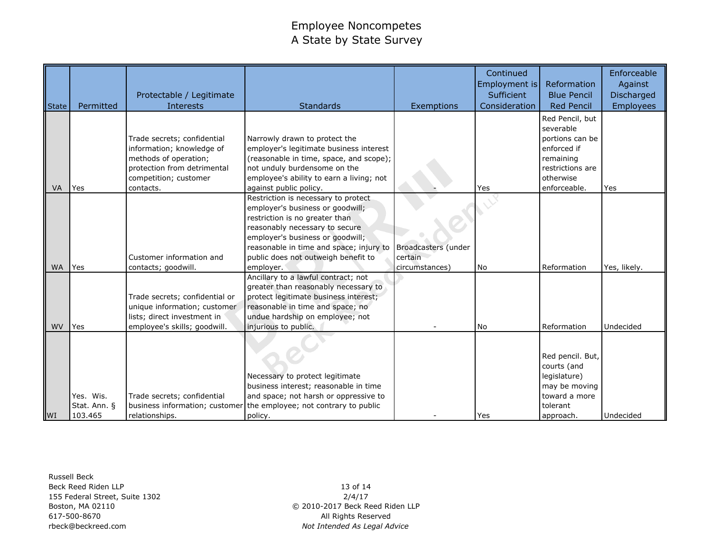| State     | Permitted                            | Protectable / Legitimate<br><b>Interests</b>                                                                                                           | <b>Standards</b>                                                                                                                                                                                                                                                               | Exemptions                                       | Continued<br>Employment is<br>Sufficient<br>Consideration | Reformation<br><b>Blue Pencil</b><br><b>Red Pencil</b>                                                                       | Enforceable<br>Against<br>Discharged<br><b>Employees</b> |
|-----------|--------------------------------------|--------------------------------------------------------------------------------------------------------------------------------------------------------|--------------------------------------------------------------------------------------------------------------------------------------------------------------------------------------------------------------------------------------------------------------------------------|--------------------------------------------------|-----------------------------------------------------------|------------------------------------------------------------------------------------------------------------------------------|----------------------------------------------------------|
| VA        | Yes                                  | Trade secrets; confidential<br>information; knowledge of<br>methods of operation;<br>protection from detrimental<br>competition; customer<br>contacts. | Narrowly drawn to protect the<br>employer's legitimate business interest<br>(reasonable in time, space, and scope);<br>not unduly burdensome on the<br>employee's ability to earn a living; not<br>against public policy.                                                      |                                                  | Yes                                                       | Red Pencil, but<br>severable<br>portions can be<br>enforced if<br>remaining<br>restrictions are<br>otherwise<br>enforceable. | Yes                                                      |
| <b>WA</b> | Yes                                  | Customer information and<br>contacts; goodwill.                                                                                                        | Restriction is necessary to protect<br>employer's business or goodwill;<br>restriction is no greater than<br>reasonably necessary to secure<br>employer's business or goodwill;<br>reasonable in time and space; injury to<br>public does not outweigh benefit to<br>employer. | Broadcasters (under<br>certain<br>circumstances) | <b>No</b>                                                 | Reformation                                                                                                                  | Yes, likely.                                             |
| <b>WV</b> | Yes                                  | Trade secrets; confidential or<br>unique information; customer<br>lists; direct investment in<br>employee's skills; goodwill.                          | Ancillary to a lawful contract; not<br>greater than reasonably necessary to<br>protect legitimate business interest;<br>reasonable in time and space; no<br>undue hardship on employee; not<br>injurious to public.                                                            |                                                  | <b>No</b>                                                 | Reformation                                                                                                                  | Undecided                                                |
| WI        | Yes. Wis.<br>Stat. Ann. §<br>103.465 | Trade secrets; confidential<br>business information; customer<br>relationships.                                                                        | Necessary to protect legitimate<br>business interest; reasonable in time<br>and space; not harsh or oppressive to<br>the employee; not contrary to public<br>policy.                                                                                                           |                                                  | Yes                                                       | Red pencil. But,<br>courts (and<br>legislature)<br>may be moving<br>toward a more<br>tolerant<br>approach.                   | Undecided                                                |

Russell Beck Beck Reed Riden LLP 155 Federal Street, Suite 1302 Boston, MA 02110 617-500-8670 rbeck@beckreed.com